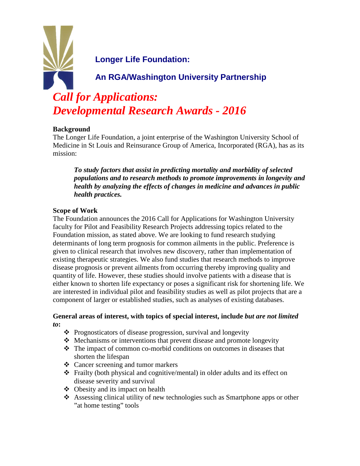**Longer Life Foundation:**

**An RGA/Washington University Partnership**

# *Call for Applications: Developmental Research Awards - 2016*

#### **Background**

The Longer Life Foundation, a joint enterprise of the Washington University School of Medicine in St Louis and Reinsurance Group of America, Incorporated (RGA), has as its mission:

*To study factors that assist in predicting mortality and morbidity of selected populations and to research methods to promote improvements in longevity and health by analyzing the effects of changes in medicine and advances in public health practices.*

### **Scope of Work**

The Foundation announces the 2016 Call for Applications for Washington University faculty for Pilot and Feasibility Research Projects addressing topics related to the Foundation mission, as stated above. We are looking to fund research studying determinants of long term prognosis for common ailments in the public. Preference is given to clinical research that involves new discovery, rather than implementation of existing therapeutic strategies. We also fund studies that research methods to improve disease prognosis or prevent ailments from occurring thereby improving quality and quantity of life. However, these studies should involve patients with a disease that is either known to shorten life expectancy or poses a significant risk for shortening life. We are interested in individual pilot and feasibility studies as well as pilot projects that are a component of larger or established studies, such as analyses of existing databases.

#### **General areas of interest, with topics of special interest, include** *but are not limited to***:**

- $\triangle$  Prognosticators of disease progression, survival and longevity
- Mechanisms or interventions that prevent disease and promote longevity
- The impact of common co-morbid conditions on outcomes in diseases that shorten the lifespan
- Cancer screening and tumor markers
- Frailty (both physical and cognitive/mental) in older adults and its effect on disease severity and survival
- $\triangleleft$  Obesity and its impact on health
- $\triangle$  Assessing clinical utility of new technologies such as Smartphone apps or other " at home testing" tools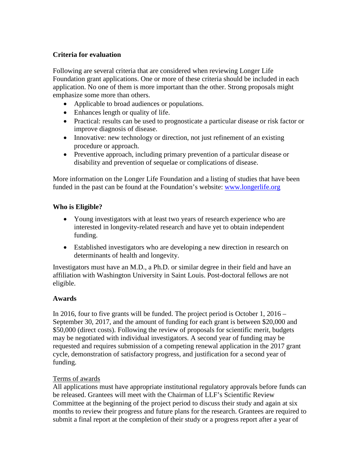#### **Criteria for evaluation**

Following are several criteria that are considered when reviewing Longer Life Foundation grant applications. One or more of these criteria should be included in each application. No one of them is more important than the other. Strong proposals might emphasize some more than others.

- Applicable to broad audiences or populations.
- Enhances length or quality of life.
- Practical: results can be used to prognosticate a particular disease or risk factor or improve diagnosis of disease.
- Innovative: new technology or direction, not just refinement of an existing procedure or approach.
- Preventive approach, including primary prevention of a particular disease or disability and prevention of sequelae or complications of disease.

More information on the Longer Life Foundation and a listing of studies that have been funded in the past can be found at the Foundation's website: [www.longerlife.org](http://www.longerlife.org/)

#### **Who is Eligible?**

- Young investigators with at least two years of research experience who are interested in longevity-related research and have yet to obtain independent funding.
- Established investigators who are developing a new direction in research on determinants of health and longevity.

Investigators must have an M.D., a Ph.D. or similar degree in their field and have an affiliation with Washington University in Saint Louis. Post-doctoral fellows are not eligible.

#### **Awards**

In 2016, four to five grants will be funded. The project period is October 1, 2016 – September 30, 2017, and the amount of funding for each grant is between \$20,000 and \$50,000 (direct costs). Following the review of proposals for scientific merit, budgets may be negotiated with individual investigators. A second year of funding may be requested and requires submission of a competing renewal application in the 2017 grant cycle, demonstration of satisfactory progress, and justification for a second year of funding.

#### Terms of awards

All applications must have appropriate institutional regulatory approvals before funds can be released. Grantees will meet with the Chairman of LLF's Scientific Review Committee at the beginning of the project period to discuss their study and again at six months to review their progress and future plans for the research. Grantees are required to submit a final report at the completion of their study or a progress report after a year of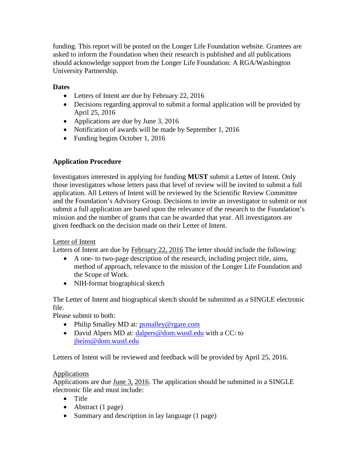funding. This report will be posted on the Longer Life Foundation website. Grantees are asked to inform the Foundation when their research is published and all publications should acknowledge support from the Longer Life Foundation: A RGA/Washington University Partnership.

## **Dates**

- Letters of Intent are due by February 22, 2016
- Decisions regarding approval to submit a formal application will be provided by April 25, 2016
- Applications are due by June 3, 2016
- Notification of awards will be made by September 1, 2016
- Funding begins October 1, 2016

## **Application Procedure**

Investigators interested in applying for funding **MUST** submit a Letter of Intent. Only those investigators whose letters pass that level of review will be invited to submit a full application. All Letters of Intent will be reviewed by the Scientific Review Committee and the Foundation's Advisory Group. Decisions to invite an investigator to submit or not submit a full application are based upon the relevance of the research to the Foundation's mission and the number of grants that can be awarded that year. All investigators are given feedback on the decision made on their Letter of Intent.

## Letter of Intent

Letters of Intent are due by February 22, 2016 The letter should include the following:

- A one- to two-page description of the research, including project title, aims, method of approach, relevance to the mission of the Longer Life Foundation and the Scope of Work.
- NIH-format biographical sketch

The Letter of Intent and biographical sketch should be submitted as a SINGLE electronic file.

Please submit to both:

- Philip Smalley MD at: [psmalley@rgare.com](mailto:psmalley@rgare.com)
- David Alpers MD at: [dalpers@dom.wustl.edu](mailto:dalpers@dom.wustl.edu) with a CC: to [jheins@dom.wustl.edu](mailto:jheins@dom.wustl.edu)

Letters of Intent will be reviewed and feedback will be provided by April 25, 2016.

## **Applications**

Applications are due June 3, 2016. The application should be submitted in a SINGLE electronic file and must include:

- Title
- Abstract (1 page)
- Summary and description in lay language (1 page)